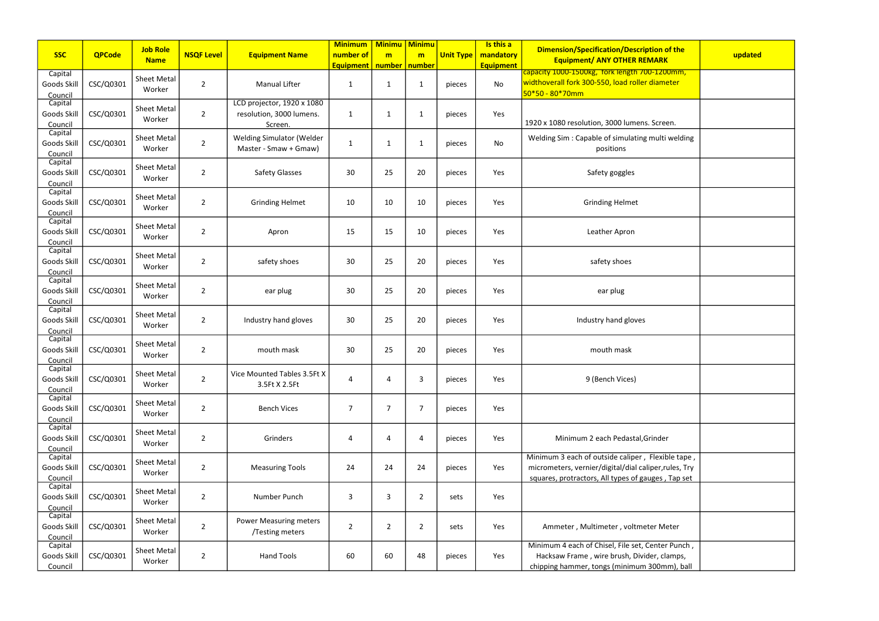| <b>SSC</b>                        | <b>QPCode</b> | <b>Job Role</b>              | <b>NSQF Level</b> | <b>Equipment Name</b>                                             | <b>Minimum</b><br>number of | <b>Minimu   Minimu</b><br>m | m              | <b>Unit Type</b> | Is this a<br>mandatory | <b>Dimension/Specification/Description of the</b>                                                                                                                | updated |
|-----------------------------------|---------------|------------------------------|-------------------|-------------------------------------------------------------------|-----------------------------|-----------------------------|----------------|------------------|------------------------|------------------------------------------------------------------------------------------------------------------------------------------------------------------|---------|
|                                   |               | <b>Name</b>                  |                   |                                                                   | <b>Equipment</b>            | number   number             |                |                  | <b>Equipment</b>       | <b>Equipment/ ANY OTHER REMARK</b>                                                                                                                               |         |
| Capital<br>Goods Skill<br>Council | CSC/Q0301     | <b>Sheet Metal</b><br>Worker | $\overline{2}$    | <b>Manual Lifter</b>                                              | 1                           | $\mathbf{1}$                | 1              | pieces           | No                     | capacity 1000-1500kg, fork length 700-1200mm,<br>widthoverall fork 300-550, load roller diameter<br>50*50 - 80*70mm                                              |         |
| Capital<br>Goods Skill<br>Council | CSC/Q0301     | <b>Sheet Metal</b><br>Worker | $\overline{2}$    | LCD projector, 1920 x 1080<br>resolution, 3000 lumens.<br>Screen. | 1                           | $\mathbf{1}$                | 1              | pieces           | Yes                    | 1920 x 1080 resolution, 3000 lumens. Screen.                                                                                                                     |         |
| Capital<br>Goods Skill<br>Council | CSC/Q0301     | <b>Sheet Metal</b><br>Worker | $\overline{2}$    | <b>Welding Simulator (Welder</b><br>Master - Smaw + Gmaw)         | $\mathbf 1$                 | $\mathbf{1}$                | 1              | pieces           | No                     | Welding Sim: Capable of simulating multi welding<br>positions                                                                                                    |         |
| Capital<br>Goods Skill<br>Council | CSC/Q0301     | <b>Sheet Metal</b><br>Worker | $\overline{2}$    | <b>Safety Glasses</b>                                             | 30                          | 25                          | 20             | pieces           | Yes                    | Safety goggles                                                                                                                                                   |         |
| Capital<br>Goods Skill<br>Council | CSC/Q0301     | <b>Sheet Metal</b><br>Worker | $\overline{2}$    | <b>Grinding Helmet</b>                                            | 10                          | 10                          | 10             | pieces           | Yes                    | <b>Grinding Helmet</b>                                                                                                                                           |         |
| Capital<br>Goods Skill<br>Council | CSC/Q0301     | <b>Sheet Metal</b><br>Worker | $\overline{2}$    | Apron                                                             | 15                          | 15                          | 10             | pieces           | Yes                    | Leather Apron                                                                                                                                                    |         |
| Capital<br>Goods Skill<br>Council | CSC/Q0301     | <b>Sheet Metal</b><br>Worker | $\overline{2}$    | safety shoes                                                      | 30                          | 25                          | 20             | pieces           | Yes                    | safety shoes                                                                                                                                                     |         |
| Capital<br>Goods Skill<br>Council | CSC/Q0301     | <b>Sheet Metal</b><br>Worker | $\overline{2}$    | ear plug                                                          | 30                          | 25                          | 20             | pieces           | Yes                    | ear plug                                                                                                                                                         |         |
| Capital<br>Goods Skill<br>Council | CSC/Q0301     | <b>Sheet Metal</b><br>Worker | $\overline{2}$    | Industry hand gloves                                              | 30                          | 25                          | 20             | pieces           | Yes                    | Industry hand gloves                                                                                                                                             |         |
| Capital<br>Goods Skil<br>Council  | CSC/Q0301     | <b>Sheet Metal</b><br>Worker | $\overline{2}$    | mouth mask                                                        | 30                          | 25                          | 20             | pieces           | Yes                    | mouth mask                                                                                                                                                       |         |
| Capital<br>Goods Skill<br>Council | CSC/Q0301     | Sheet Metal<br>Worker        | $\overline{2}$    | Vice Mounted Tables 3.5Ft X<br>3.5Ft X 2.5Ft                      | 4                           | 4                           | 3              | pieces           | Yes                    | 9 (Bench Vices)                                                                                                                                                  |         |
| Capital<br>Goods Skill<br>Council | CSC/Q0301     | <b>Sheet Metal</b><br>Worker | $\overline{2}$    | <b>Bench Vices</b>                                                | $\overline{7}$              | 7                           | 7              | pieces           | Yes                    |                                                                                                                                                                  |         |
| Capital<br>Goods Skill<br>Council | CSC/Q0301     | <b>Sheet Metal</b><br>Worker | $\overline{2}$    | Grinders                                                          | 4                           | 4                           | 4              | pieces           | Yes                    | Minimum 2 each Pedastal, Grinder                                                                                                                                 |         |
| Capital<br>Goods Skill<br>Council | CSC/Q0301     | <b>Sheet Metal</b><br>Worker | $\overline{2}$    | <b>Measuring Tools</b>                                            | 24                          | 24                          | 24             | pieces           | Yes                    | Minimum 3 each of outside caliper, Flexible tape,<br>micrometers, vernier/digital/dial caliper, rules, Try<br>squares, protractors, All types of gauges, Tap set |         |
| Capital<br>Goods Skill<br>Council | CSC/Q0301     | <b>Sheet Metal</b><br>Worker | $\overline{2}$    | Number Punch                                                      | 3                           | 3                           | 2              | sets             | Yes                    |                                                                                                                                                                  |         |
| Capital<br>Goods Skill<br>Council | CSC/Q0301     | <b>Sheet Metal</b><br>Worker | $\overline{2}$    | <b>Power Measuring meters</b><br>/Testing meters                  | $\overline{2}$              | $\overline{2}$              | $\overline{2}$ | sets             | Yes                    | Ammeter, Multimeter, voltmeter Meter                                                                                                                             |         |
| Capital<br>Goods Skill<br>Council | CSC/Q0301     | <b>Sheet Metal</b><br>Worker | $\overline{2}$    | <b>Hand Tools</b>                                                 | 60                          | 60                          | 48             | pieces           | Yes                    | Minimum 4 each of Chisel, File set, Center Punch,<br>Hacksaw Frame, wire brush, Divider, clamps,<br>chipping hammer, tongs (minimum 300mm), ball                 |         |

| tion of the<br><b>MARK</b>                                | updated |
|-----------------------------------------------------------|---------|
| <mark>0-1200mm,</mark><br>diameter                        |         |
|                                                           |         |
| Screen.                                                   |         |
| multi welding                                             |         |
|                                                           |         |
|                                                           |         |
|                                                           |         |
|                                                           |         |
|                                                           |         |
|                                                           |         |
|                                                           |         |
|                                                           |         |
|                                                           |         |
| rinder                                                    |         |
| Flexible tape,<br>iper,rules, Try<br><u>iges, Tap set</u> |         |
|                                                           |         |
| er Meter:                                                 |         |
| Center Punch,                                             |         |
| ler, clamps,<br><u>300mm), ball</u>                       |         |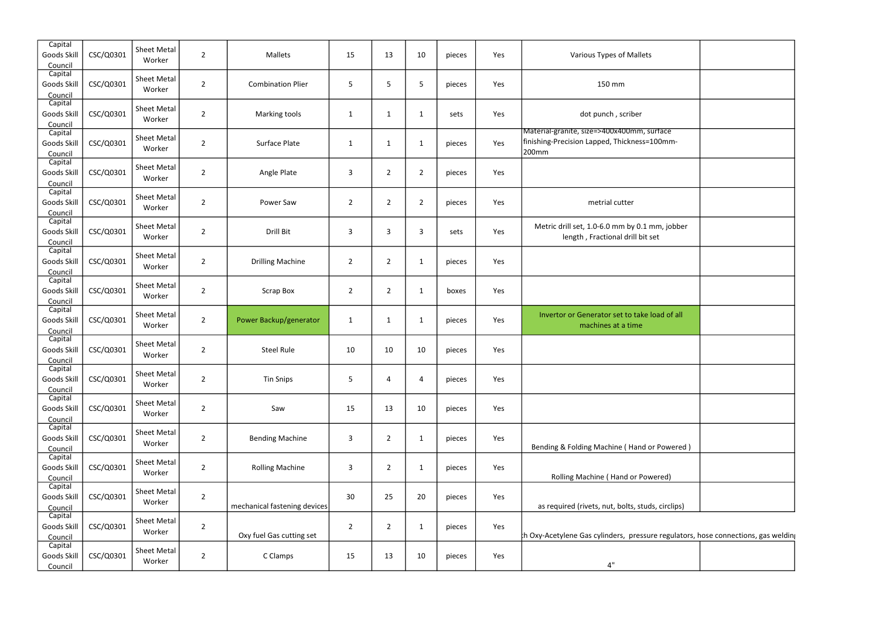| Capital<br>Goods Skill<br>Council | CSC/Q0301 | <b>Sheet Metal</b><br>Worker | $\overline{2}$ | Mallets                      | 15             | 13             | 10             | pieces | Yes | Various Types of Mallets                                                                            |
|-----------------------------------|-----------|------------------------------|----------------|------------------------------|----------------|----------------|----------------|--------|-----|-----------------------------------------------------------------------------------------------------|
| Capital<br>Goods Skill<br>Council | CSC/Q0301 | <b>Sheet Metal</b><br>Worker | $\overline{2}$ | <b>Combination Plier</b>     | 5              | 5              | 5              | pieces | Yes | 150 mm                                                                                              |
| Capital<br>Goods Skill<br>Council | CSC/Q0301 | <b>Sheet Metal</b><br>Worker | $\overline{2}$ | Marking tools                | 1              | $\mathbf{1}$   | $\mathbf{1}$   | sets   | Yes | dot punch, scriber                                                                                  |
| Capital<br>Goods Skill<br>Council | CSC/Q0301 | <b>Sheet Metal</b><br>Worker | $\overline{2}$ | Surface Plate                | 1              | $\mathbf{1}$   | 1              | pieces | Yes | Material-granite, size=>400x400mm, surface<br>finishing-Precision Lapped, Thickness=100mm-<br>200mm |
| Capital<br>Goods Skill<br>Council | CSC/Q0301 | <b>Sheet Metal</b><br>Worker | $\overline{2}$ | Angle Plate                  | 3              | $\overline{2}$ | $\overline{2}$ | pieces | Yes |                                                                                                     |
| Capital<br>Goods Skill<br>Council | CSC/Q0301 | <b>Sheet Metal</b><br>Worker | $\overline{2}$ | Power Saw                    | $\overline{2}$ | $\overline{2}$ | $\overline{2}$ | pieces | Yes | metrial cutter                                                                                      |
| Capital<br>Goods Skill<br>Council | CSC/Q0301 | <b>Sheet Metal</b><br>Worker | $\overline{2}$ | Drill Bit                    | 3              | 3              | 3              | sets   | Yes | Metric drill set, 1.0-6.0 mm by 0.1 mm, jobber<br>length, Fractional drill bit set                  |
| Capital<br>Goods Skill<br>Council | CSC/Q0301 | <b>Sheet Metal</b><br>Worker | $\overline{2}$ | <b>Drilling Machine</b>      | $\overline{2}$ | $\overline{2}$ | $\mathbf{1}$   | pieces | Yes |                                                                                                     |
| Capital<br>Goods Skill<br>Council | CSC/Q0301 | <b>Sheet Metal</b><br>Worker | $\overline{2}$ | <b>Scrap Box</b>             | $\overline{2}$ | $\overline{2}$ | $\mathbf{1}$   | boxes  | Yes |                                                                                                     |
| Capital<br>Goods Skill<br>Council | CSC/Q0301 | <b>Sheet Metal</b><br>Worker | $\overline{2}$ | Power Backup/generator       | $\mathbf{1}$   | $\mathbf{1}$   | 1              | pieces | Yes | Invertor or Generator set to take load of all<br>machines at a time                                 |
| Capital<br>Goods Skill<br>Council | CSC/Q0301 | <b>Sheet Metal</b><br>Worker | $\overline{2}$ | <b>Steel Rule</b>            | 10             | 10             | 10             | pieces | Yes |                                                                                                     |
| Capital<br>Goods Skill<br>Council | CSC/Q0301 | <b>Sheet Metal</b><br>Worker | $\overline{2}$ | <b>Tin Snips</b>             | 5              | 4              | 4              | pieces | Yes |                                                                                                     |
| Capital<br>Goods Skill<br>Council | CSC/Q0301 | <b>Sheet Metal</b><br>Worker | $\overline{2}$ | Saw                          | 15             | 13             | 10             | pieces | Yes |                                                                                                     |
| Capital<br>Goods Skill<br>Council | CSC/Q0301 | <b>Sheet Metal</b><br>Worker | $\overline{2}$ | <b>Bending Machine</b>       | 3              | $\overline{2}$ | $\mathbf{1}$   | pieces | Yes | Bending & Folding Machine (Hand or Powered)                                                         |
| Capital<br>Goods Skill<br>Council | CSC/Q0301 | <b>Sheet Metal</b><br>Worker | $\overline{2}$ | <b>Rolling Machine</b>       | 3              | $\overline{2}$ | $\mathbf{1}$   | pieces | Yes | Rolling Machine (Hand or Powered)                                                                   |
| Capital<br>Goods Skill<br>Council | CSC/Q0301 | <b>Sheet Metal</b><br>Worker | $\overline{2}$ | mechanical fastening devices | 30             | 25             | 20             | pieces | Yes | as required (rivets, nut, bolts, studs, circlips)                                                   |
| Capital<br>Goods Skill<br>Council | CSC/Q0301 | <b>Sheet Metal</b><br>Worker | $\overline{2}$ | Oxy fuel Gas cutting set     | $\overline{2}$ | $\overline{2}$ | $\mathbf{1}$   | pieces | Yes | th Oxy-Acetylene Gas cylinders, pressure regulators                                                 |
| Capital<br>Goods Skill<br>Council | CSC/Q0301 | <b>Sheet Metal</b><br>Worker | $\overline{2}$ | C Clamps                     | 15             | 13             | 10             | pieces | Yes | 4"                                                                                                  |

| $\overline{ace}$<br>Jmm- |  |
|--------------------------|--|
|                          |  |
|                          |  |
| า, jobber                |  |
|                          |  |
|                          |  |
| d of all                 |  |
|                          |  |
|                          |  |
|                          |  |
| owered)                  |  |
| ed)                      |  |
| circlips)                |  |

## regulators, hose connections, gas welding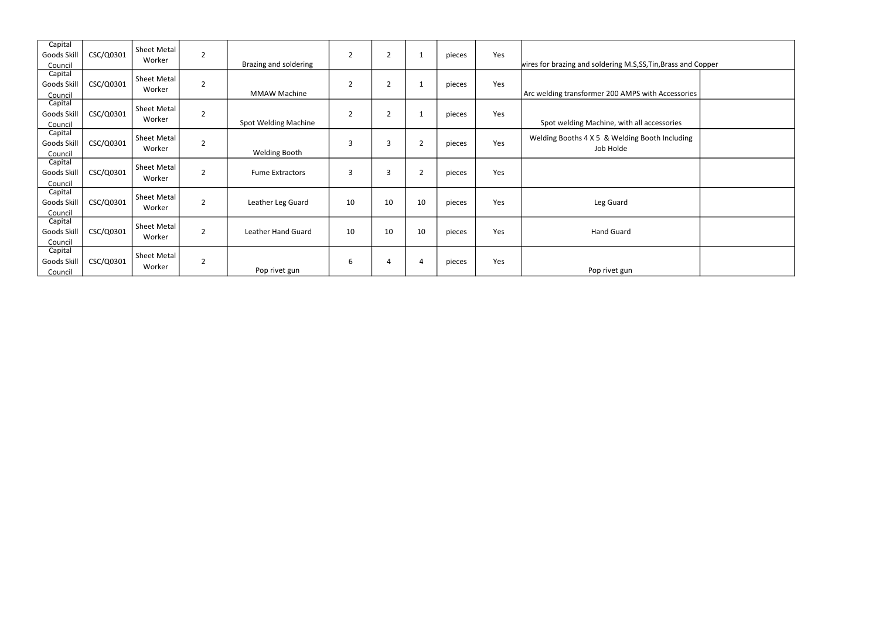| Capital<br>Goods Skill            | CSC/Q0301 | <b>Sheet Metal</b>           | $\overline{2}$ |                             | $\overline{2}$ | $\overline{2}$ | 1              | pieces | Yes |                                                               |  |
|-----------------------------------|-----------|------------------------------|----------------|-----------------------------|----------------|----------------|----------------|--------|-----|---------------------------------------------------------------|--|
| Council                           |           | Worker                       |                | Brazing and soldering       |                |                |                |        |     | wires for brazing and soldering M.S.SS, Tin, Brass and Copper |  |
| Capital<br>Goods Skill            | CSC/Q0301 | Sheet Metal<br>Worker        | $\overline{2}$ |                             | $\overline{2}$ | $\overline{2}$ | 1              | pieces | Yes |                                                               |  |
| Council                           |           |                              |                | <b>MMAW Machine</b>         |                |                |                |        |     | Arc welding transformer 200 AMPS with Accessories             |  |
| Capital<br>Goods Skill<br>Council | CSC/Q0301 | Sheet Metal<br>Worker        | $\overline{2}$ | <b>Spot Welding Machine</b> | $\overline{2}$ | $\overline{2}$ | 1              | pieces | Yes | Spot welding Machine, with all accessories                    |  |
| Capital<br>Goods Skill<br>Council | CSC/Q0301 | Sheet Metal<br>Worker        | $\overline{2}$ | <b>Welding Booth</b>        | 3              | 3              | $\overline{2}$ | pieces | Yes | Welding Booths 4 X 5 & Welding Booth Including<br>Job Holde   |  |
| Capital<br>Goods Skill<br>Council | CSC/Q0301 | <b>Sheet Metal</b><br>Worker | $\overline{2}$ | <b>Fume Extractors</b>      | 3              | 3              | $\overline{2}$ | pieces | Yes |                                                               |  |
| Capital<br>Goods Skill<br>Council | CSC/Q0301 | Sheet Metal<br>Worker        | $\overline{2}$ | Leather Leg Guard           | 10             | 10             | 10             | pieces | Yes | Leg Guard                                                     |  |
| Capital<br>Goods Skill<br>Council | CSC/Q0301 | <b>Sheet Metal</b><br>Worker | $\overline{2}$ | <b>Leather Hand Guard</b>   | 10             | 10             | 10             | pieces | Yes | <b>Hand Guard</b>                                             |  |
| Capital<br>Goods Skill<br>Council | CSC/Q0301 | <b>Sheet Metal</b><br>Worker | $\overline{2}$ | Pop rivet gun               | 6              | 4              | 4              | pieces | Yes | Pop rivet gun                                                 |  |

| rass and Copper |  |  |  |  |  |  |  |
|-----------------|--|--|--|--|--|--|--|
|                 |  |  |  |  |  |  |  |
| ccessories      |  |  |  |  |  |  |  |
|                 |  |  |  |  |  |  |  |
| sories          |  |  |  |  |  |  |  |
| ncluding        |  |  |  |  |  |  |  |
|                 |  |  |  |  |  |  |  |
|                 |  |  |  |  |  |  |  |
|                 |  |  |  |  |  |  |  |
|                 |  |  |  |  |  |  |  |
|                 |  |  |  |  |  |  |  |
|                 |  |  |  |  |  |  |  |
|                 |  |  |  |  |  |  |  |
|                 |  |  |  |  |  |  |  |
|                 |  |  |  |  |  |  |  |